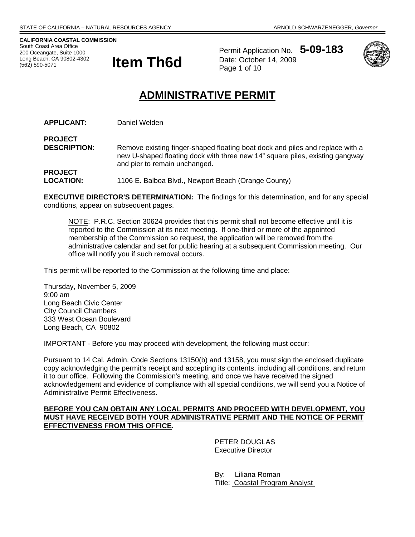**CALIFORNIA COASTAL COMMISSION**  South Coast Area Office 200 Oceangate, Suite 1000 (562) 590-5071

**Item Th6d** 

Permit Application No. **5-09-183** Date: October 14, 2009 Page 1 of 10



# **ADMINISTRATIVE PERMIT**

**APPLICANT:** Daniel Welden

**PROJECT DESCRIPTION:** Remove existing finger-shaped floating boat dock and piles and replace with a new U-shaped floating dock with three new 14" square piles, existing gangway and pier to remain unchanged. **PROJECT LOCATION:** 1106 E. Balboa Blvd., Newport Beach (Orange County)

**EXECUTIVE DIRECTOR'S DETERMINATION:** The findings for this determination, and for any special conditions, appear on subsequent pages.

NOTE: P.R.C. Section 30624 provides that this permit shall not become effective until it is reported to the Commission at its next meeting. If one-third or more of the appointed membership of the Commission so request, the application will be removed from the administrative calendar and set for public hearing at a subsequent Commission meeting. Our office will notify you if such removal occurs.

This permit will be reported to the Commission at the following time and place:

Thursday, November 5, 2009 9:00 am Long Beach Civic Center City Council Chambers 333 West Ocean Boulevard Long Beach, CA 90802

IMPORTANT - Before you may proceed with development, the following must occur:

Pursuant to 14 Cal. Admin. Code Sections 13150(b) and 13158, you must sign the enclosed duplicate copy acknowledging the permit's receipt and accepting its contents, including all conditions, and return it to our office. Following the Commission's meeting, and once we have received the signed acknowledgement and evidence of compliance with all special conditions, we will send you a Notice of Administrative Permit Effectiveness.

## **BEFORE YOU CAN OBTAIN ANY LOCAL PERMITS AND PROCEED WITH DEVELOPMENT, YOU MUST HAVE RECEIVED BOTH YOUR ADMINISTRATIVE PERMIT AND THE NOTICE OF PERMIT EFFECTIVENESS FROM THIS OFFICE.**

 PETER DOUGLAS Executive Director

 By: Liliana Roman Title: Coastal Program Analyst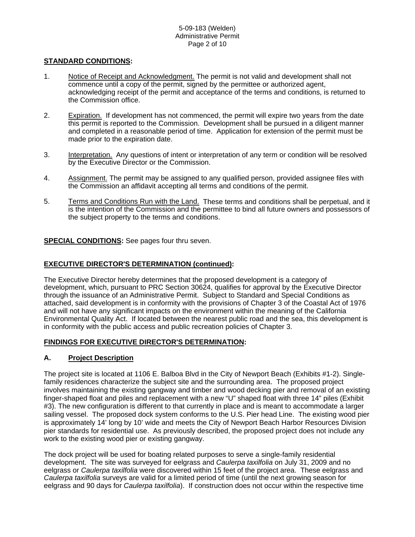## **STANDARD CONDITIONS:**

- 1. Notice of Receipt and Acknowledgment. The permit is not valid and development shall not commence until a copy of the permit, signed by the permittee or authorized agent, acknowledging receipt of the permit and acceptance of the terms and conditions, is returned to the Commission office.
- 2. Expiration. If development has not commenced, the permit will expire two years from the date this permit is reported to the Commission. Development shall be pursued in a diligent manner and completed in a reasonable period of time. Application for extension of the permit must be made prior to the expiration date.
- 3. Interpretation. Any questions of intent or interpretation of any term or condition will be resolved by the Executive Director or the Commission.
- 4. Assignment. The permit may be assigned to any qualified person, provided assignee files with the Commission an affidavit accepting all terms and conditions of the permit.
- 5. Terms and Conditions Run with the Land. These terms and conditions shall be perpetual, and it is the intention of the Commission and the permittee to bind all future owners and possessors of the subject property to the terms and conditions.

# **SPECIAL CONDITIONS:** See pages four thru seven.

## **EXECUTIVE DIRECTOR'S DETERMINATION (continued):**

The Executive Director hereby determines that the proposed development is a category of development, which, pursuant to PRC Section 30624, qualifies for approval by the Executive Director through the issuance of an Administrative Permit. Subject to Standard and Special Conditions as attached, said development is in conformity with the provisions of Chapter 3 of the Coastal Act of 1976 and will not have any significant impacts on the environment within the meaning of the California Environmental Quality Act. If located between the nearest public road and the sea, this development is in conformity with the public access and public recreation policies of Chapter 3.

## **FINDINGS FOR EXECUTIVE DIRECTOR'S DETERMINATION:**

# **A. Project Description**

The project site is located at 1106 E. Balboa Blvd in the City of Newport Beach (Exhibits #1-2). Singlefamily residences characterize the subject site and the surrounding area. The proposed project involves maintaining the existing gangway and timber and wood decking pier and removal of an existing finger-shaped float and piles and replacement with a new "U" shaped float with three 14" piles (Exhibit #3). The new configuration is different to that currently in place and is meant to accommodate a larger sailing vessel. The proposed dock system conforms to the U.S. Pier head Line. The existing wood pier is approximately 14' long by 10' wide and meets the City of Newport Beach Harbor Resources Division pier standards for residential use. As previously described, the proposed project does not include any work to the existing wood pier or existing gangway.

The dock project will be used for boating related purposes to serve a single-family residential development. The site was surveyed for eelgrass and *Caulerpa taxilfolia* on July 31, 2009 and no eelgrass or *Caulerpa taxilfolia* were discovered within 15 feet of the project area. These eelgrass and *Caulerpa taxilfolia* surveys are valid for a limited period of time (until the next growing season for eelgrass and 90 days for *Caulerpa taxilfolia*). If construction does not occur within the respective time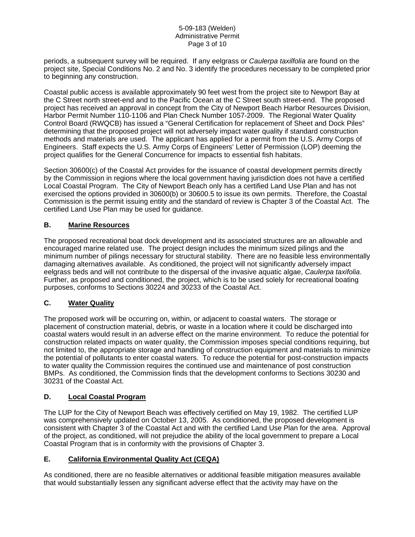#### 5-09-183 (Welden) Administrative Permit Page 3 of 10

periods, a subsequent survey will be required. If any eelgrass or *Caulerpa taxilfolia* are found on the project site, Special Conditions No. 2 and No. 3 identify the procedures necessary to be completed prior to beginning any construction.

Coastal public access is available approximately 90 feet west from the project site to Newport Bay at the C Street north street-end and to the Pacific Ocean at the C Street south street-end. The proposed project has received an approval in concept from the City of Newport Beach Harbor Resources Division, Harbor Permit Number 110-1106 and Plan Check Number 1057-2009. The Regional Water Quality Control Board (RWQCB) has issued a "General Certification for replacement of Sheet and Dock Piles" determining that the proposed project will not adversely impact water quality if standard construction methods and materials are used. The applicant has applied for a permit from the U.S. Army Corps of Engineers. Staff expects the U.S. Army Corps of Engineers' Letter of Permission (LOP) deeming the project qualifies for the General Concurrence for impacts to essential fish habitats.

Section 30600(c) of the Coastal Act provides for the issuance of coastal development permits directly by the Commission in regions where the local government having jurisdiction does not have a certified Local Coastal Program. The City of Newport Beach only has a certified Land Use Plan and has not exercised the options provided in 30600(b) or 30600.5 to issue its own permits. Therefore, the Coastal Commission is the permit issuing entity and the standard of review is Chapter 3 of the Coastal Act. The certified Land Use Plan may be used for guidance.

# **B. Marine Resources**

The proposed recreational boat dock development and its associated structures are an allowable and encouraged marine related use. The project design includes the minimum sized pilings and the minimum number of pilings necessary for structural stability. There are no feasible less environmentally damaging alternatives available. As conditioned, the project will not significantly adversely impact eelgrass beds and will not contribute to the dispersal of the invasive aquatic algae, *Caulerpa taxifolia*. Further, as proposed and conditioned, the project, which is to be used solely for recreational boating purposes, conforms to Sections 30224 and 30233 of the Coastal Act.

# **C. Water Quality**

The proposed work will be occurring on, within, or adjacent to coastal waters. The storage or placement of construction material, debris, or waste in a location where it could be discharged into coastal waters would result in an adverse effect on the marine environment. To reduce the potential for construction related impacts on water quality, the Commission imposes special conditions requiring, but not limited to, the appropriate storage and handling of construction equipment and materials to minimize the potential of pollutants to enter coastal waters. To reduce the potential for post-construction impacts to water quality the Commission requires the continued use and maintenance of post construction BMPs. As conditioned, the Commission finds that the development conforms to Sections 30230 and 30231 of the Coastal Act.

# **D. Local Coastal Program**

The LUP for the City of Newport Beach was effectively certified on May 19, 1982. The certified LUP was comprehensively updated on October 13, 2005. As conditioned, the proposed development is consistent with Chapter 3 of the Coastal Act and with the certified Land Use Plan for the area. Approval of the project, as conditioned, will not prejudice the ability of the local government to prepare a Local Coastal Program that is in conformity with the provisions of Chapter 3.

## **E. California Environmental Quality Act (CEQA)**

As conditioned, there are no feasible alternatives or additional feasible mitigation measures available that would substantially lessen any significant adverse effect that the activity may have on the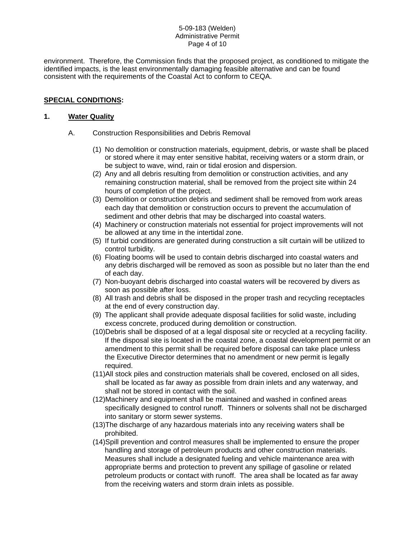#### 5-09-183 (Welden) Administrative Permit Page 4 of 10

environment. Therefore, the Commission finds that the proposed project, as conditioned to mitigate the identified impacts, is the least environmentally damaging feasible alternative and can be found consistent with the requirements of the Coastal Act to conform to CEQA.

# **SPECIAL CONDITIONS:**

## **1. Water Quality**

- A. Construction Responsibilities and Debris Removal
	- (1) No demolition or construction materials, equipment, debris, or waste shall be placed or stored where it may enter sensitive habitat, receiving waters or a storm drain, or be subject to wave, wind, rain or tidal erosion and dispersion.
	- (2) Any and all debris resulting from demolition or construction activities, and any remaining construction material, shall be removed from the project site within 24 hours of completion of the project.
	- (3) Demolition or construction debris and sediment shall be removed from work areas each day that demolition or construction occurs to prevent the accumulation of sediment and other debris that may be discharged into coastal waters.
	- (4) Machinery or construction materials not essential for project improvements will not be allowed at any time in the intertidal zone.
	- (5) If turbid conditions are generated during construction a silt curtain will be utilized to control turbidity.
	- (6) Floating booms will be used to contain debris discharged into coastal waters and any debris discharged will be removed as soon as possible but no later than the end of each day.
	- (7) Non-buoyant debris discharged into coastal waters will be recovered by divers as soon as possible after loss.
	- (8) All trash and debris shall be disposed in the proper trash and recycling receptacles at the end of every construction day.
	- (9) The applicant shall provide adequate disposal facilities for solid waste, including excess concrete, produced during demolition or construction.
	- (10)Debris shall be disposed of at a legal disposal site or recycled at a recycling facility. If the disposal site is located in the coastal zone, a coastal development permit or an amendment to this permit shall be required before disposal can take place unless the Executive Director determines that no amendment or new permit is legally required.
	- (11)All stock piles and construction materials shall be covered, enclosed on all sides, shall be located as far away as possible from drain inlets and any waterway, and shall not be stored in contact with the soil.
	- (12)Machinery and equipment shall be maintained and washed in confined areas specifically designed to control runoff. Thinners or solvents shall not be discharged into sanitary or storm sewer systems.
	- (13)The discharge of any hazardous materials into any receiving waters shall be prohibited.
	- (14)Spill prevention and control measures shall be implemented to ensure the proper handling and storage of petroleum products and other construction materials. Measures shall include a designated fueling and vehicle maintenance area with appropriate berms and protection to prevent any spillage of gasoline or related petroleum products or contact with runoff. The area shall be located as far away from the receiving waters and storm drain inlets as possible.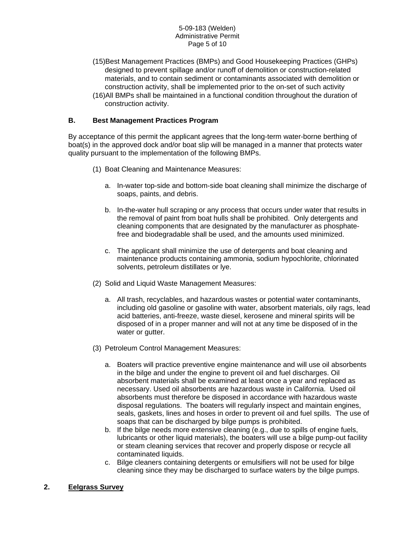- (15)Best Management Practices (BMPs) and Good Housekeeping Practices (GHPs) designed to prevent spillage and/or runoff of demolition or construction-related materials, and to contain sediment or contaminants associated with demolition or construction activity, shall be implemented prior to the on-set of such activity
- (16)All BMPs shall be maintained in a functional condition throughout the duration of construction activity.

# **B. Best Management Practices Program**

By acceptance of this permit the applicant agrees that the long-term water-borne berthing of boat(s) in the approved dock and/or boat slip will be managed in a manner that protects water quality pursuant to the implementation of the following BMPs.

- (1) Boat Cleaning and Maintenance Measures:
	- a. In-water top-side and bottom-side boat cleaning shall minimize the discharge of soaps, paints, and debris.
	- b. In-the-water hull scraping or any process that occurs under water that results in the removal of paint from boat hulls shall be prohibited. Only detergents and cleaning components that are designated by the manufacturer as phosphatefree and biodegradable shall be used, and the amounts used minimized.
	- c. The applicant shall minimize the use of detergents and boat cleaning and maintenance products containing ammonia, sodium hypochlorite, chlorinated solvents, petroleum distillates or lye.
- (2) Solid and Liquid Waste Management Measures:
	- a. All trash, recyclables, and hazardous wastes or potential water contaminants, including old gasoline or gasoline with water, absorbent materials, oily rags, lead acid batteries, anti-freeze, waste diesel, kerosene and mineral spirits will be disposed of in a proper manner and will not at any time be disposed of in the water or gutter.
- (3) Petroleum Control Management Measures:
	- a. Boaters will practice preventive engine maintenance and will use oil absorbents in the bilge and under the engine to prevent oil and fuel discharges. Oil absorbent materials shall be examined at least once a year and replaced as necessary. Used oil absorbents are hazardous waste in California. Used oil absorbents must therefore be disposed in accordance with hazardous waste disposal regulations. The boaters will regularly inspect and maintain engines, seals, gaskets, lines and hoses in order to prevent oil and fuel spills. The use of soaps that can be discharged by bilge pumps is prohibited.
	- b. If the bilge needs more extensive cleaning (e.g., due to spills of engine fuels, lubricants or other liquid materials), the boaters will use a bilge pump-out facility or steam cleaning services that recover and properly dispose or recycle all contaminated liquids.
	- c. Bilge cleaners containing detergents or emulsifiers will not be used for bilge cleaning since they may be discharged to surface waters by the bilge pumps.
- **2. Eelgrass Survey**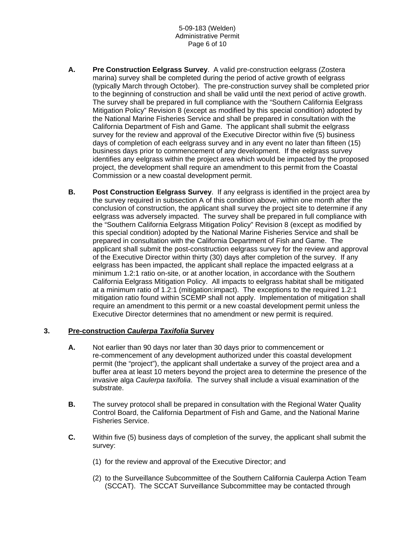- **A. Pre Construction Eelgrass Survey**. A valid pre-construction eelgrass (Zostera marina) survey shall be completed during the period of active growth of eelgrass (typically March through October). The pre-construction survey shall be completed prior to the beginning of construction and shall be valid until the next period of active growth. The survey shall be prepared in full compliance with the "Southern California Eelgrass Mitigation Policy" Revision 8 (except as modified by this special condition) adopted by the National Marine Fisheries Service and shall be prepared in consultation with the California Department of Fish and Game. The applicant shall submit the eelgrass survey for the review and approval of the Executive Director within five (5) business days of completion of each eelgrass survey and in any event no later than fifteen (15) business days prior to commencement of any development. If the eelgrass survey identifies any eelgrass within the project area which would be impacted by the proposed project, the development shall require an amendment to this permit from the Coastal Commission or a new coastal development permit.
- **B. Post Construction Eelgrass Survey**. If any eelgrass is identified in the project area by the survey required in subsection A of this condition above, within one month after the conclusion of construction, the applicant shall survey the project site to determine if any eelgrass was adversely impacted. The survey shall be prepared in full compliance with the "Southern California Eelgrass Mitigation Policy" Revision 8 (except as modified by this special condition) adopted by the National Marine Fisheries Service and shall be prepared in consultation with the California Department of Fish and Game. The applicant shall submit the post-construction eelgrass survey for the review and approval of the Executive Director within thirty (30) days after completion of the survey. If any eelgrass has been impacted, the applicant shall replace the impacted eelgrass at a minimum 1.2:1 ratio on-site, or at another location, in accordance with the Southern California Eelgrass Mitigation Policy. All impacts to eelgrass habitat shall be mitigated at a minimum ratio of 1.2:1 (mitigation:impact). The exceptions to the required 1.2:1 mitigation ratio found within SCEMP shall not apply. Implementation of mitigation shall require an amendment to this permit or a new coastal development permit unless the Executive Director determines that no amendment or new permit is required.

## **3. Pre-construction** *Caulerpa Taxifolia* **Survey**

- **A.** Not earlier than 90 days nor later than 30 days prior to commencement or re-commencement of any development authorized under this coastal development permit (the "project"), the applicant shall undertake a survey of the project area and a buffer area at least 10 meters beyond the project area to determine the presence of the invasive alga *Caulerpa taxifolia*. The survey shall include a visual examination of the substrate.
- **B.** The survey protocol shall be prepared in consultation with the Regional Water Quality Control Board, the California Department of Fish and Game, and the National Marine Fisheries Service.
- **C.** Within five (5) business days of completion of the survey, the applicant shall submit the survey:
	- (1) for the review and approval of the Executive Director; and
	- (2) to the Surveillance Subcommittee of the Southern California Caulerpa Action Team (SCCAT). The SCCAT Surveillance Subcommittee may be contacted through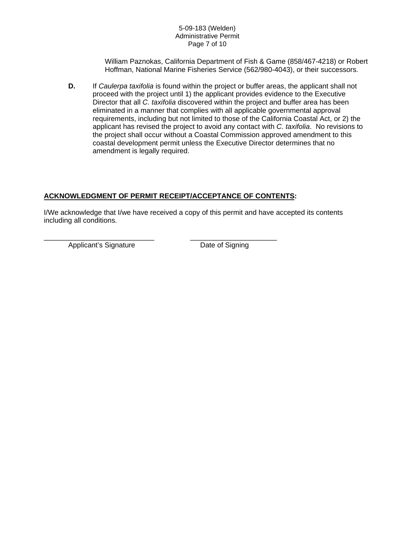William Paznokas, California Department of Fish & Game (858/467-4218) or Robert Hoffman, National Marine Fisheries Service (562/980-4043), or their successors.

**D.** If *Caulerpa taxifolia* is found within the project or buffer areas, the applicant shall not proceed with the project until 1) the applicant provides evidence to the Executive Director that all *C. taxifolia* discovered within the project and buffer area has been eliminated in a manner that complies with all applicable governmental approval requirements, including but not limited to those of the California Coastal Act, or 2) the applicant has revised the project to avoid any contact with *C. taxifolia*. No revisions to the project shall occur without a Coastal Commission approved amendment to this coastal development permit unless the Executive Director determines that no amendment is legally required.

# **ACKNOWLEDGMENT OF PERMIT RECEIPT/ACCEPTANCE OF CONTENTS:**

\_\_\_\_\_\_\_\_\_\_\_\_\_\_\_\_\_\_\_\_\_\_\_\_\_\_\_\_ \_\_\_\_\_\_\_\_\_\_\_\_\_\_\_\_\_\_\_\_\_\_

I/We acknowledge that I/we have received a copy of this permit and have accepted its contents including all conditions.

Applicant's Signature Date of Signing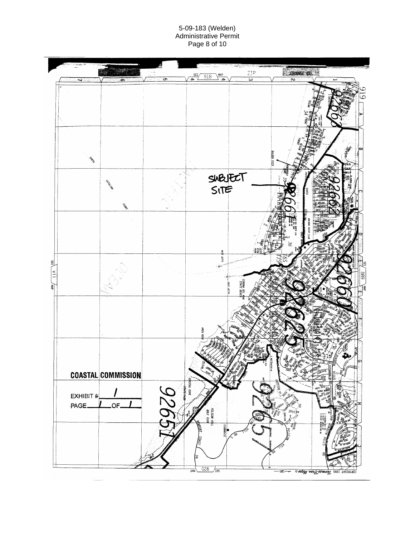#### 5-09-183 (Welden) Administrative Permit Page 8 of 10

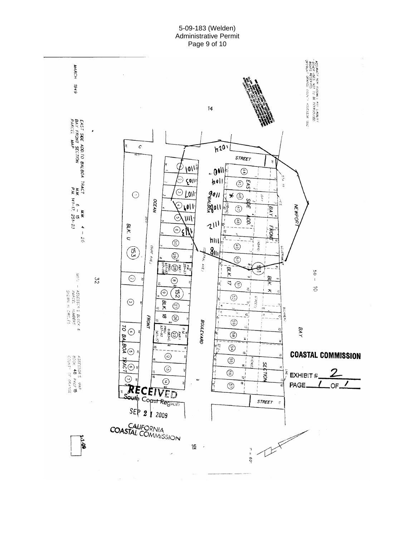5-09-183 (Welden) Administrative Permit Page 9 of 10